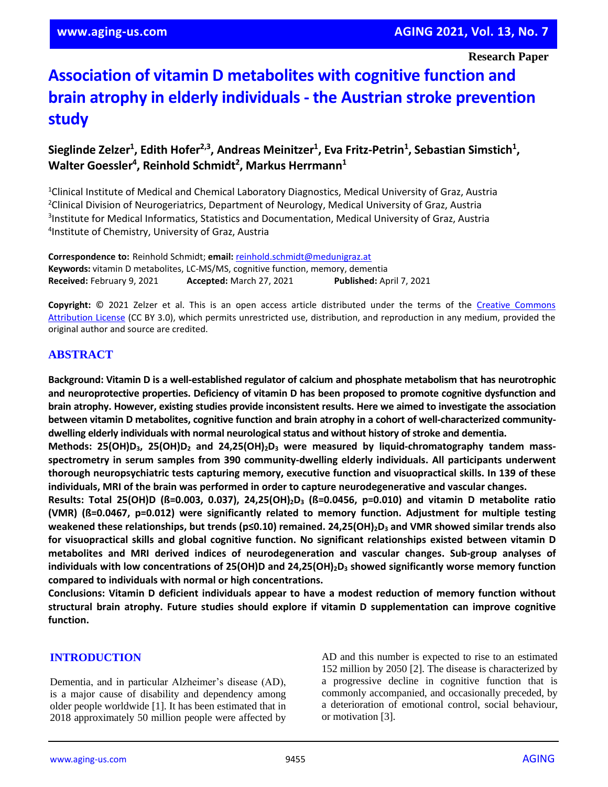**Research Paper**

# **Association of vitamin D metabolites with cognitive function and brain atrophy in elderly individuals - the Austrian stroke prevention study**

## **Sieglinde Zelzer<sup>1</sup> , Edith Hofer2,3, Andreas Meinitzer<sup>1</sup> , Eva Fritz-Petrin<sup>1</sup> , Sebastian Simstich<sup>1</sup> , Walter Goessler<sup>4</sup> , Reinhold Schmidt<sup>2</sup> , Markus Herrmann<sup>1</sup>**

<sup>1</sup>Clinical Institute of Medical and Chemical Laboratory Diagnostics, Medical University of Graz, Austria Clinical Division of Neurogeriatrics, Department of Neurology, Medical University of Graz, Austria Institute for Medical Informatics, Statistics and Documentation, Medical University of Graz, Austria Institute of Chemistry, University of Graz, Austria

**Correspondence to:** Reinhold Schmidt; **email:** [reinhold.schmidt@medunigraz.at](mailto:reinhold.schmidt@medunigraz.at) **Keywords:** vitamin D metabolites, LC-MS/MS, cognitive function, memory, dementia **Received:** February 9, 2021 **Accepted:** March 27, 2021 **Published:** April 7, 2021

Copyright: © 2021 Zelzer et al. This is an open access article distributed under the terms of the Creative Commons [Attribution License](https://creativecommons.org/licenses/by/3.0/) (CC BY 3.0), which permits unrestricted use, distribution, and reproduction in any medium, provided the original author and source are credited.

## **ABSTRACT**

**Background: Vitamin D is a well-established regulator of calcium and phosphate metabolism that has neurotrophic and neuroprotective properties. Deficiency of vitamin D has been proposed to promote cognitive dysfunction and brain atrophy. However, existing studies provide inconsistent results. Here we aimed to investigate the association between vitamin D metabolites, cognitive function and brain atrophy in a cohort of well-characterized communitydwelling elderly individuals with normal neurologicalstatus and without history of stroke and dementia.**

**Methods: 25(OH)D3, 25(OH)D<sup>2</sup> and 24,25(OH)2D<sup>3</sup> were measured by liquid-chromatography tandem massspectrometry in serum samples from 390 community-dwelling elderly individuals. All participants underwent thorough neuropsychiatric tests capturing memory, executive function and visuopractical skills. In 139 of these individuals, MRI of the brain was performed in order to capture neurodegenerative and vascular changes.**

**Results: Total 25(OH)D (ß=0.003, 0.037), 24,25(OH)2D<sup>3</sup> (ß=0.0456, p=0.010) and vitamin D metabolite ratio (VMR) (ß=0.0467, p=0.012) were significantly related to memory function. Adjustment for multiple testing** weakened these relationships, but trends ( $p \le 0.10$ ) remained. 24,25(OH)<sub>2</sub>D<sub>3</sub> and VMR showed similar trends also **for visuopractical skills and global cognitive function. No significant relationships existed between vitamin D metabolites and MRI derived indices of neurodegeneration and vascular changes. Sub-group analyses of individuals with low concentrations of 25(OH)D and 24,25(OH)2D<sup>3</sup> showed significantly worse memory function compared to individuals with normal or high concentrations.**

**Conclusions: Vitamin D deficient individuals appear to have a modest reduction of memory function without structural brain atrophy. Future studies should explore if vitamin D supplementation can improve cognitive function.**

#### **INTRODUCTION**

Dementia, and in particular Alzheimer's disease (AD), is a major cause of disability and dependency among older people worldwide [1]. It has been estimated that in 2018 approximately 50 million people were affected by AD and this number is expected to rise to an estimated 152 million by 2050 [2]. The disease is characterized by a progressive decline in cognitive function that is commonly accompanied, and occasionally preceded, by a deterioration of emotional control, social behaviour, or motivation [3].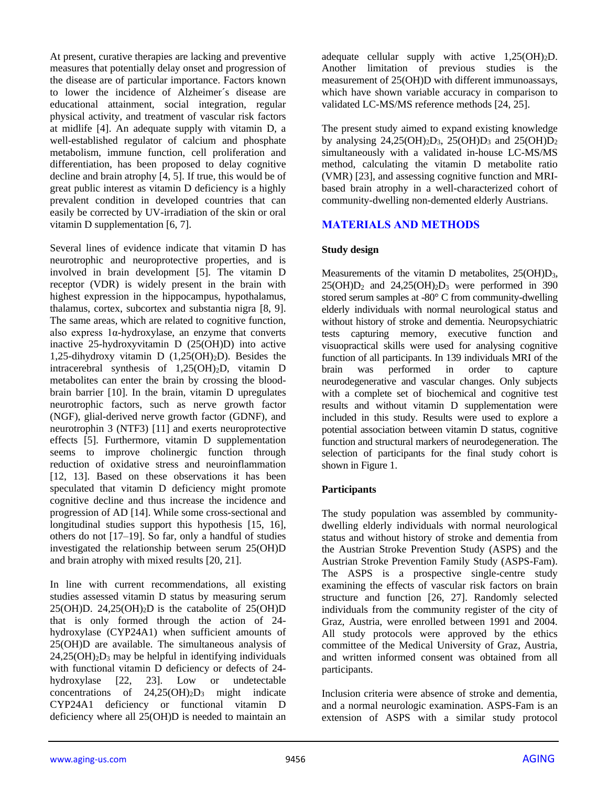At present, curative therapies are lacking and preventive measures that potentially delay onset and progression of the disease are of particular importance. Factors known to lower the incidence of Alzheimer´s disease are educational attainment, social integration, regular physical activity, and treatment of vascular risk factors at midlife [4]. An adequate supply with vitamin D, a well-established regulator of calcium and phosphate metabolism, immune function, cell proliferation and differentiation, has been proposed to delay cognitive decline and brain atrophy [4, 5]. If true, this would be of great public interest as vitamin D deficiency is a highly prevalent condition in developed countries that can easily be corrected by UV-irradiation of the skin or oral vitamin D supplementation [6, 7].

Several lines of evidence indicate that vitamin D has neurotrophic and neuroprotective properties, and is involved in brain development [5]. The vitamin D receptor (VDR) is widely present in the brain with highest expression in the hippocampus, hypothalamus, thalamus, cortex, subcortex and substantia nigra [8, 9]. The same areas, which are related to cognitive function, also express 1α-hydroxylase, an enzyme that converts inactive 25-hydroxyvitamin D (25(OH)D) into active 1,25-dihydroxy vitamin D  $(1,25(OH)_2D)$ . Besides the intracerebral synthesis of 1,25(OH)2D, vitamin D metabolites can enter the brain by crossing the bloodbrain barrier [10]. In the brain, vitamin D upregulates neurotrophic factors, such as nerve growth factor (NGF), glial-derived nerve growth factor (GDNF), and neurotrophin 3 (NTF3) [11] and exerts neuroprotective effects [5]. Furthermore, vitamin D supplementation seems to improve cholinergic function through reduction of oxidative stress and neuroinflammation [12, 13]. Based on these observations it has been speculated that vitamin D deficiency might promote cognitive decline and thus increase the incidence and progression of AD [14]. While some cross-sectional and longitudinal studies support this hypothesis [15, 16], others do not [17–19]. So far, only a handful of studies investigated the relationship between serum 25(OH)D and brain atrophy with mixed results [20, 21].

In line with current recommendations, all existing studies assessed vitamin D status by measuring serum 25(OH)D. 24,25(OH)<sub>2</sub>D is the catabolite of  $25(OH)D$ that is only formed through the action of 24 hydroxylase (CYP24A1) when sufficient amounts of 25(OH)D are available. The simultaneous analysis of  $24,25(OH)<sub>2</sub>D<sub>3</sub>$  may be helpful in identifying individuals with functional vitamin D deficiency or defects of 24 hydroxylase [22, 23]. Low or undetectable concentrations of  $24,25(OH)_2D_3$  might indicate CYP24A1 deficiency or functional vitamin D deficiency where all 25(OH)D is needed to maintain an

adequate cellular supply with active  $1,25(OH)<sub>2</sub>D$ . Another limitation of previous studies is the measurement of 25(OH)D with different immunoassays, which have shown variable accuracy in comparison to validated LC-MS/MS reference methods [24, 25].

The present study aimed to expand existing knowledge by analysing  $24,25(OH)<sub>2</sub>D<sub>3</sub>$ ,  $25(OH)<sub>2</sub>D<sub>3</sub>$  and  $25(OH)<sub>2</sub>D<sub>2</sub>$ simultaneously with a validated in-house LC-MS/MS method, calculating the vitamin D metabolite ratio (VMR) [23], and assessing cognitive function and MRIbased brain atrophy in a well-characterized cohort of community-dwelling non-demented elderly Austrians.

## **MATERIALS AND METHODS**

## **Study design**

Measurements of the vitamin D metabolites,  $25(OH)D<sub>3</sub>$ ,  $25(OH)D<sub>2</sub>$  and  $24.25(OH)<sub>2</sub>D<sub>3</sub>$  were performed in 390 stored serum samples at -80° C from community-dwelling elderly individuals with normal neurological status and without history of stroke and dementia. Neuropsychiatric tests capturing memory, executive function and visuopractical skills were used for analysing cognitive function of all participants. In 139 individuals MRI of the brain was performed in order to capture neurodegenerative and vascular changes. Only subjects with a complete set of biochemical and cognitive test results and without vitamin D supplementation were included in this study. Results were used to explore a potential association between vitamin D status, cognitive function and structural markers of neurodegeneration. The selection of participants for the final study cohort is shown in Figure 1.

## **Participants**

The study population was assembled by communitydwelling elderly individuals with normal neurological status and without history of stroke and dementia from the Austrian Stroke Prevention Study (ASPS) and the Austrian Stroke Prevention Family Study (ASPS-Fam). The ASPS is a prospective single-centre study examining the effects of vascular risk factors on brain structure and function [26, 27]. Randomly selected individuals from the community register of the city of Graz, Austria, were enrolled between 1991 and 2004. All study protocols were approved by the ethics committee of the Medical University of Graz, Austria, and written informed consent was obtained from all participants.

Inclusion criteria were absence of stroke and dementia, and a normal neurologic examination. ASPS-Fam is an extension of ASPS with a similar study protocol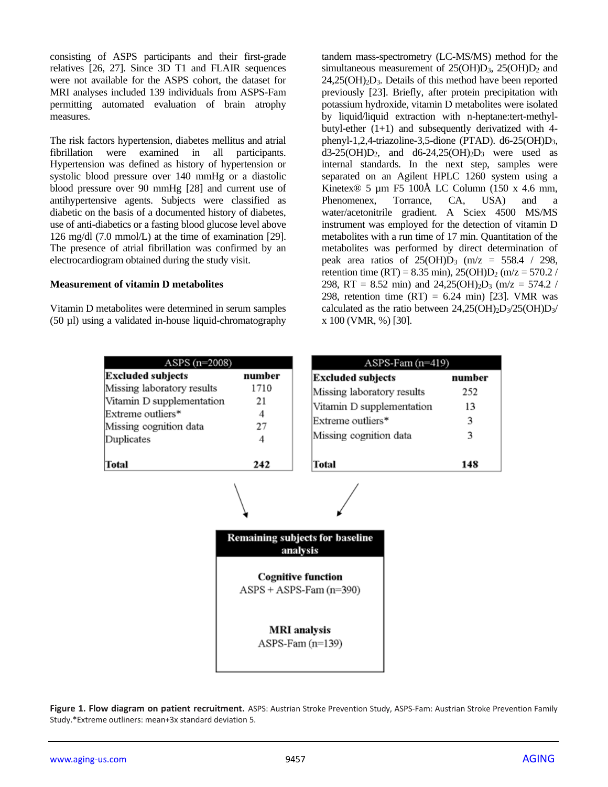consisting of ASPS participants and their first-grade relatives [26, 27]. Since 3D T1 and FLAIR sequences were not available for the ASPS cohort, the dataset for MRI analyses included 139 individuals from ASPS-Fam permitting automated evaluation of brain atrophy measures.

The risk factors hypertension, diabetes mellitus and atrial fibrillation were examined in all participants. Hypertension was defined as history of hypertension or systolic blood pressure over 140 mmHg or a diastolic blood pressure over 90 mmHg [28] and current use of antihypertensive agents. Subjects were classified as diabetic on the basis of a documented history of diabetes, use of anti-diabetics or a fasting blood glucose level above 126 mg/dl (7.0 mmol/L) at the time of examination [29]. The presence of atrial fibrillation was confirmed by an electrocardiogram obtained during the study visit.

#### **Measurement of vitamin D metabolites**

Vitamin D metabolites were determined in serum samples (50 µl) using a validated in-house liquid-chromatography

| ASPS $(n=2008)$            |        |  |  |  |  |  |  |  |
|----------------------------|--------|--|--|--|--|--|--|--|
| <b>Excluded subjects</b>   | number |  |  |  |  |  |  |  |
| Missing laboratory results | 1710   |  |  |  |  |  |  |  |
| Vitamin D supplementation  | 21     |  |  |  |  |  |  |  |
| Extreme outliers*          |        |  |  |  |  |  |  |  |
| Missing cognition data     | 27     |  |  |  |  |  |  |  |
| Duplicates                 | 4      |  |  |  |  |  |  |  |
|                            |        |  |  |  |  |  |  |  |
|                            |        |  |  |  |  |  |  |  |

tandem mass-spectrometry (LC-MS/MS) method for the simultaneous measurement of  $25(OH)D_3$ ,  $25(OH)D_2$  and  $24,25(OH)<sub>2</sub>D<sub>3</sub>$ . Details of this method have been reported previously [23]. Briefly, after protein precipitation with potassium hydroxide, vitamin D metabolites were isolated by liquid/liquid extraction with n-heptane:tert-methylbutyl-ether  $(1+1)$  and subsequently derivatized with 4phenyl-1,2,4-triazoline-3,5-dione (PTAD). d6-25(OH) $D_3$ ,  $d3-25(OH)D_2$ , and  $d6-24,25(OH)_2D_3$  were used as internal standards. In the next step, samples were separated on an Agilent HPLC 1260 system using a Kinetex® 5 µm F5 100Å LC Column (150 x 4.6 mm, Phenomenex, Torrance, CA, USA) and a water/acetonitrile gradient. A Sciex 4500 MS/MS instrument was employed for the detection of vitamin D metabolites with a run time of 17 min. Quantitation of the metabolites was performed by direct determination of peak area ratios of  $25(OH)D_3$  (m/z = 558.4 / 298, retention time (RT) = 8.35 min),  $25(OH)D_2$  (m/z = 570.2 / 298, RT = 8.52 min) and  $24,25(OH)<sub>2</sub>D<sub>3</sub>$  (m/z = 574.2 / 298, retention time  $(RT) = 6.24$  min) [23]. VMR was calculated as the ratio between  $24,25(OH)_2D_3/25(OH)D_3/2$ x 100 (VMR, %) [30].

| ASPS-Fam (n=419)           |        |  |  |  |  |  |  |
|----------------------------|--------|--|--|--|--|--|--|
| <b>Excluded subjects</b>   | number |  |  |  |  |  |  |
| Missing laboratory results | 252    |  |  |  |  |  |  |
| Vitamin D supplementation  | 13     |  |  |  |  |  |  |
| Extreme outliers*          | 3      |  |  |  |  |  |  |
| Missing cognition data     | 3      |  |  |  |  |  |  |
|                            |        |  |  |  |  |  |  |
| Total                      | 148    |  |  |  |  |  |  |



**Figure 1. Flow diagram on patient recruitment.** ASPS: Austrian Stroke Prevention Study, ASPS-Fam: Austrian Stroke Prevention Family Study.\*Extreme outliners: mean+3x standard deviation 5.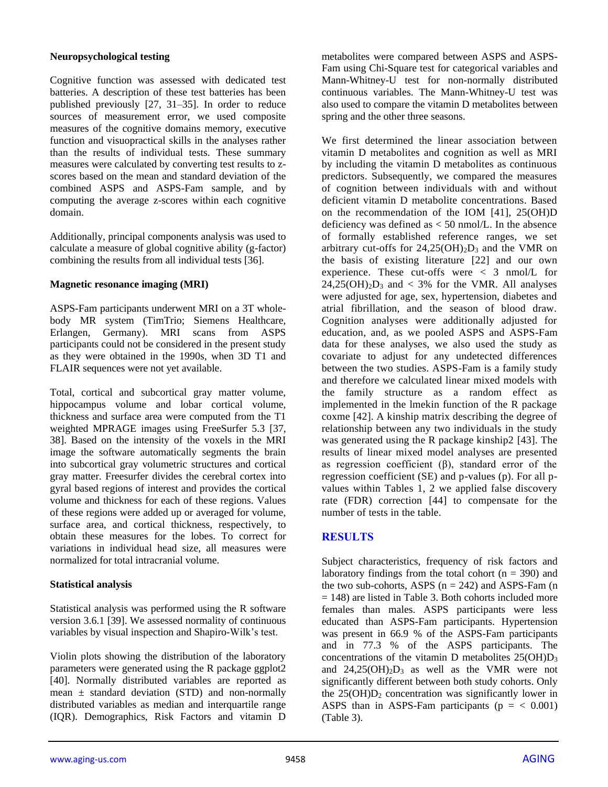#### **Neuropsychological testing**

Cognitive function was assessed with dedicated test batteries. A description of these test batteries has been published previously [27, 31–35]. In order to reduce sources of measurement error, we used composite measures of the cognitive domains memory, executive function and visuopractical skills in the analyses rather than the results of individual tests. These summary measures were calculated by converting test results to zscores based on the mean and standard deviation of the combined ASPS and ASPS-Fam sample, and by computing the average z-scores within each cognitive domain.

Additionally, principal components analysis was used to calculate a measure of global cognitive ability (g-factor) combining the results from all individual tests [36].

#### **Magnetic resonance imaging (MRI)**

ASPS-Fam participants underwent MRI on a 3T wholebody MR system (TimTrio; Siemens Healthcare, Erlangen, Germany). MRI scans from ASPS participants could not be considered in the present study as they were obtained in the 1990s, when 3D T1 and FLAIR sequences were not yet available.

Total, cortical and subcortical gray matter volume, hippocampus volume and lobar cortical volume, thickness and surface area were computed from the T1 weighted MPRAGE images using FreeSurfer 5.3 [37, 38]. Based on the intensity of the voxels in the MRI image the software automatically segments the brain into subcortical gray volumetric structures and cortical gray matter. Freesurfer divides the cerebral cortex into gyral based regions of interest and provides the cortical volume and thickness for each of these regions. Values of these regions were added up or averaged for volume, surface area, and cortical thickness, respectively, to obtain these measures for the lobes. To correct for variations in individual head size, all measures were normalized for total intracranial volume.

#### **Statistical analysis**

Statistical analysis was performed using the R software version 3.6.1 [39]. We assessed normality of continuous variables by visual inspection and Shapiro-Wilk's test.

Violin plots showing the distribution of the laboratory parameters were generated using the R package ggplot2 [40]. Normally distributed variables are reported as mean  $\pm$  standard deviation (STD) and non-normally distributed variables as median and interquartile range (IQR). Demographics, Risk Factors and vitamin D

metabolites were compared between ASPS and ASPS-Fam using Chi-Square test for categorical variables and Mann-Whitney-U test for non-normally distributed continuous variables. The Mann-Whitney-U test was also used to compare the vitamin D metabolites between spring and the other three seasons.

We first determined the linear association between vitamin D metabolites and cognition as well as MRI by including the vitamin D metabolites as continuous predictors. Subsequently, we compared the measures of cognition between individuals with and without deficient vitamin D metabolite concentrations. Based on the recommendation of the IOM [41], 25(OH)D deficiency was defined as < 50 nmol/L. In the absence of formally established reference ranges, we set arbitrary cut-offs for  $24,25(OH)_2D_3$  and the VMR on the basis of existing literature [22] and our own experience. These cut-offs were < 3 nmol/L for  $24,25(OH)<sub>2</sub>D<sub>3</sub>$  and < 3% for the VMR. All analyses were adjusted for age, sex, hypertension, diabetes and atrial fibrillation, and the season of blood draw. Cognition analyses were additionally adjusted for education, and, as we pooled ASPS and ASPS-Fam data for these analyses, we also used the study as covariate to adjust for any undetected differences between the two studies. ASPS-Fam is a family study and therefore we calculated linear mixed models with the family structure as a random effect as implemented in the lmekin function of the R package coxme [42]. A kinship matrix describing the degree of relationship between any two individuals in the study was generated using the R package kinship2 [43]. The results of linear mixed model analyses are presented as regression coefficient (β), standard error of the regression coefficient (SE) and p-values (p). For all pvalues within Tables 1, 2 we applied false discovery rate (FDR) correction [44] to compensate for the number of tests in the table.

## **RESULTS**

Subject characteristics, frequency of risk factors and laboratory findings from the total cohort ( $n = 390$ ) and the two sub-cohorts, ASPS  $(n = 242)$  and ASPS-Fam  $(n$  $= 148$ ) are listed in Table 3. Both cohorts included more females than males. ASPS participants were less educated than ASPS-Fam participants. Hypertension was present in 66.9 % of the ASPS-Fam participants and in 77.3 % of the ASPS participants. The concentrations of the vitamin D metabolites 25(OH)D<sup>3</sup> and  $24.25(OH)_{2}D_{3}$  as well as the VMR were not significantly different between both study cohorts. Only the  $25(OH)D<sub>2</sub>$  concentration was significantly lower in ASPS than in ASPS-Fam participants ( $p = < 0.001$ ) (Table 3).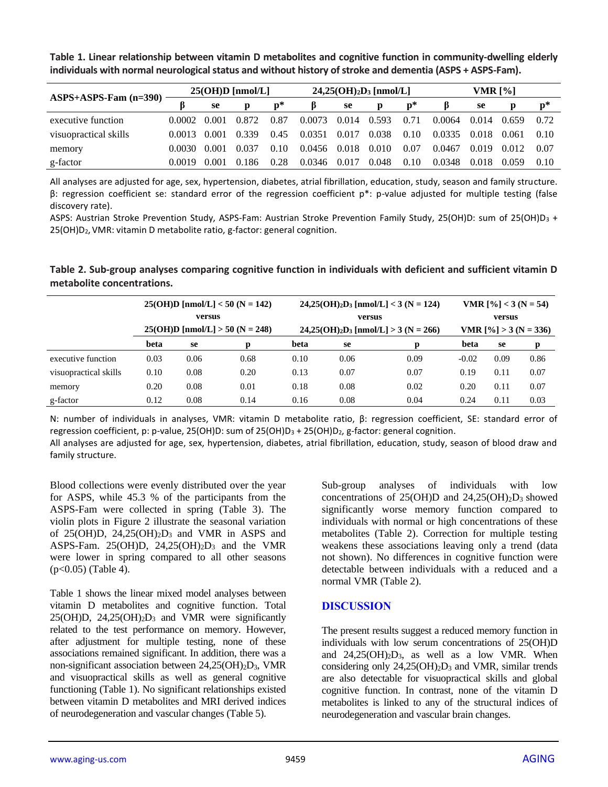| $ASPS+ASPS-Fam (n=390)$ | $25(OH)D$ [nmol/L] |       |       | $24,25(OH)2D3 [mmol/L]$ |        |       |       | <b>VMR [%]</b> |        |       |       |                |
|-------------------------|--------------------|-------|-------|-------------------------|--------|-------|-------|----------------|--------|-------|-------|----------------|
|                         |                    | se    |       | $\mathbf{p}^*$          | В      | se    | р     | D*             |        | se    |       | $\mathbf{p}^*$ |
| executive function      | 0.0002             | 0.001 | 0.872 | 0.87                    | 0.0073 | 0.014 | 0.593 | 0.71           | 0.0064 | 0.014 | 0.659 | 0.72           |
| visuopractical skills   | 0.0013             | 0.001 | 0.339 | 0.45                    | 0.0351 | 0.017 | 0.038 | 0.10           | 0.0335 | 0.018 | 0.061 | 0.10           |
| memory                  | 0.0030             | 0.001 | 0.037 | 0.10                    | 0.0456 | 0.018 | 0.010 | 0.07           | 0.0467 | 0.019 | 0.012 | 0.07           |
| g-factor                | 0.0019.            | 0.001 | 0.186 | 0.28                    | 0.0346 | 0.017 | 0.048 | 0.10           | 0.0348 | 0.018 | 0.059 | 0.10           |

**Table 1. Linear relationship between vitamin D metabolites and cognitive function in community-dwelling elderly individuals with normal neurological status and without history of stroke and dementia (ASPS + ASPS-Fam).**

All analyses are adjusted for age, sex, hypertension, diabetes, atrial fibrillation, education, study, season and family structure. β: regression coefficient se: standard error of the regression coefficient p\*: p-value adjusted for multiple testing (false discovery rate).

ASPS: Austrian Stroke Prevention Study, ASPS-Fam: Austrian Stroke Prevention Family Study, 25(OH)D: sum of 25(OH)D<sub>3</sub> + 25(OH)D2, VMR: vitamin D metabolite ratio, g-factor: general cognition.

**Table 2. Sub-group analyses comparing cognitive function in individuals with deficient and sufficient vitamin D metabolite concentrations.**

|                       | $25(OH)D$ [nmol/L] < 50 (N = 142)<br>versus<br>$25(OH)D$ [nmol/L] > 50 (N = 248) |      |      | $24,25(OH)_{2}D_{3}$ [nmol/L] < 3 (N = 124)<br>versus<br>$24,25(OH)2D3 [nmol/L] > 3 (N = 266)$ | VMR $[\%]3 (N = 54)$<br>versus<br>VMR $[\%] > 3 (N = 336)$ |      |         |               |      |
|-----------------------|----------------------------------------------------------------------------------|------|------|------------------------------------------------------------------------------------------------|------------------------------------------------------------|------|---------|---------------|------|
|                       | beta                                                                             | se   | D    | beta                                                                                           | se                                                         | p    | beta    | <sub>se</sub> | р    |
| executive function    | 0.03                                                                             | 0.06 | 0.68 | 0.10                                                                                           | 0.06                                                       | 0.09 | $-0.02$ | 0.09          | 0.86 |
| visuopractical skills | 0.10                                                                             | 0.08 | 0.20 | 0.13                                                                                           | 0.07                                                       | 0.07 | 0.19    | 0.11          | 0.07 |
| memory                | 0.20                                                                             | 0.08 | 0.01 | 0.18                                                                                           | 0.08                                                       | 0.02 | 0.20    | 0.11          | 0.07 |
| g-factor              | 0.12                                                                             | 0.08 | 0.14 | 0.16                                                                                           | 0.08                                                       | 0.04 | 0.24    | 0.11          | 0.03 |

N: number of individuals in analyses, VMR: vitamin D metabolite ratio, β: regression coefficient, SE: standard error of regression coefficient, p: p-value, 25(OH)D: sum of 25(OH)D<sub>3</sub> + 25(OH)D<sub>2</sub>, g-factor: general cognition.

All analyses are adjusted for age, sex, hypertension, diabetes, atrial fibrillation, education, study, season of blood draw and family structure.

Blood collections were evenly distributed over the year for ASPS, while 45.3 % of the participants from the ASPS-Fam were collected in spring (Table 3). The violin plots in Figure 2 illustrate the seasonal variation of  $25(OH)D$ ,  $24,25(OH)2D_3$  and VMR in ASPS and ASPS-Fam. 25(OH)D, 24,25(OH)2D<sup>3</sup> and the VMR were lower in spring compared to all other seasons (p<0.05) (Table 4).

Table 1 shows the linear mixed model analyses between vitamin D metabolites and cognitive function. Total 25(OH)D, 24,25(OH)2D<sup>3</sup> and VMR were significantly related to the test performance on memory. However, after adjustment for multiple testing, none of these associations remained significant. In addition, there was a non-significant association between 24,25(OH)2D3, VMR and visuopractical skills as well as general cognitive functioning (Table 1). No significant relationships existed between vitamin D metabolites and MRI derived indices of neurodegeneration and vascular changes (Table 5).

Sub-group analyses of individuals with low concentrations of  $25(OH)D$  and  $24,25(OH)2D_3$  showed significantly worse memory function compared to individuals with normal or high concentrations of these metabolites (Table 2). Correction for multiple testing weakens these associations leaving only a trend (data not shown). No differences in cognitive function were detectable between individuals with a reduced and a normal VMR (Table 2).

#### **DISCUSSION**

The present results suggest a reduced memory function in individuals with low serum concentrations of 25(OH)D and  $24,25(OH)<sub>2</sub>D<sub>3</sub>$ , as well as a low VMR. When considering only 24,25(OH)2D<sup>3</sup> and VMR, similar trends are also detectable for visuopractical skills and global cognitive function. In contrast, none of the vitamin D metabolites is linked to any of the structural indices of neurodegeneration and vascular brain changes.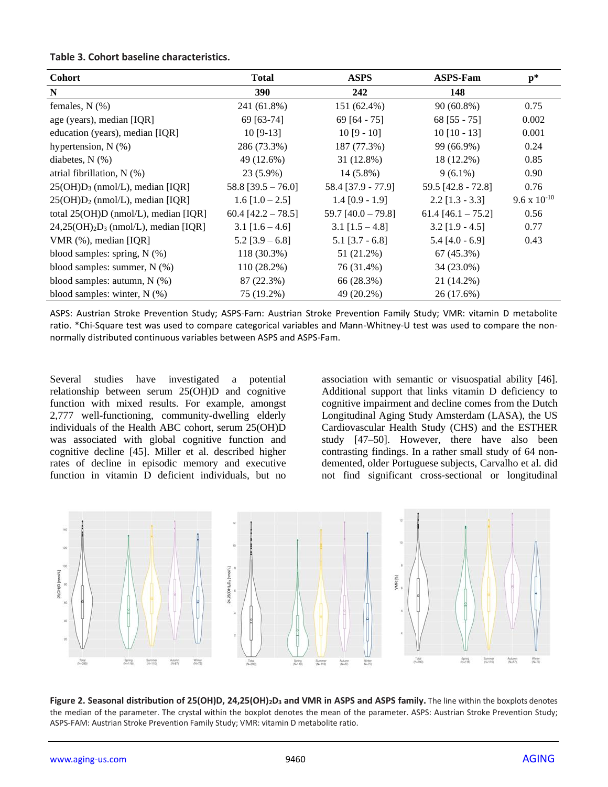#### **Table 3. Cohort baseline characteristics.**

| <b>Cohort</b>                          | <b>Total</b>          | <b>ASPS</b>          | <b>ASPS-Fam</b>      | $\mathbf{p}^*$        |
|----------------------------------------|-----------------------|----------------------|----------------------|-----------------------|
| N                                      | <b>390</b>            | 242                  | 148                  |                       |
| females, $N$ $(\%)$                    | 241 (61.8%)           | 151 (62.4%)          | $90(60.8\%)$         | 0.75                  |
| age (years), median [IQR]              | 69 [63-74]            | 69 $[64 - 75]$       | $68$ [55 - 75]       | 0.002                 |
| education (years), median [IQR]        | $10$ [9-13]           | $10[9 - 10]$         | $10$ [10 - 13]       | 0.001                 |
| hypertension, $N$ (%)                  | 286 (73.3%)           | 187 (77.3%)          | 99 (66.9%)           | 0.24                  |
| diabetes, $N$ $(\%)$                   | 49 (12.6%)            | $31(12.8\%)$         | 18 (12.2%)           | 0.85                  |
| atrial fibrillation, $N$ (%)           | $23(5.9\%)$           | $14(5.8\%)$          | $9(6.1\%)$           | 0.90                  |
| $25(OH)D_3$ (nmol/L), median [IQR]     | $58.8$ [39.5 - 76.0]  | 58.4 [37.9 - 77.9]   | 59.5 [42.8 - 72.8]   | 0.76                  |
| $25(OH)D2$ (nmol/L), median [IQR]      | $1.6$ [ $1.0 - 2.5$ ] | $1.4$ [0.9 - 1.9]    | $2.2$ [1.3 - 3.3]    | $9.6 \times 10^{-10}$ |
| total $25(OH)D$ (nmol/L), median [IQR] | 60.4 $[42.2 - 78.5]$  | 59.7 $[40.0 - 79.8]$ | $61.4$ [46.1 - 75.2] | 0.56                  |
| $24,25(OH)2D3$ (nmol/L), median [IQR]  | $3.1$ [1.6 – 4.6]     | $3.1$ [1.5 – 4.8]    | $3.2$ [1.9 - 4.5]    | 0.77                  |
| $VMR$ (%), median [IQR]                | $5.2$ [3.9 – 6.8]     | $5.1$ [3.7 - 6.8]    | $5.4$ [4.0 - 6.9]    | 0.43                  |
| blood samples: spring, $N$ (%)         | 118 (30.3%)           | 51 (21.2%)           | 67 (45.3%)           |                       |
| blood samples: summer, $N$ (%)         | $110(28.2\%)$         | 76 (31.4%)           | 34 (23.0%)           |                       |
| blood samples: autumn, $N$ (%)         | 87 (22.3%)            | 66 (28.3%)           | 21 (14.2%)           |                       |
| blood samples: winter, $N$ (%)         | 75 (19.2%)            | 49 (20.2%)           | 26 (17.6%)           |                       |

ASPS: Austrian Stroke Prevention Study; ASPS-Fam: Austrian Stroke Prevention Family Study; VMR: vitamin D metabolite ratio. \*Chi-Square test was used to compare categorical variables and Mann-Whitney-U test was used to compare the nonnormally distributed continuous variables between ASPS and ASPS-Fam.

Several studies have investigated a potential relationship between serum 25(OH)D and cognitive function with mixed results. For example, amongst 2,777 well-functioning, community-dwelling elderly individuals of the Health ABC cohort, serum 25(OH)D was associated with global cognitive function and cognitive decline [45]. Miller et al. described higher rates of decline in episodic memory and executive function in vitamin D deficient individuals, but no association with semantic or visuospatial ability [46]. Additional support that links vitamin D deficiency to cognitive impairment and decline comes from the Dutch Longitudinal Aging Study Amsterdam (LASA), the US Cardiovascular Health Study (CHS) and the ESTHER study [47–50]. However, there have also been contrasting findings. In a rather small study of 64 nondemented, older Portuguese subjects, Carvalho et al. did not find significant cross-sectional or longitudinal



**Figure 2. Seasonal distribution of 25(OH)D, 24,25(OH)2D<sup>3</sup> and VMR in ASPS and ASPS family.** The line within the boxplots denotes the median of the parameter. The crystal within the boxplot denotes the mean of the parameter. ASPS: Austrian Stroke Prevention Study; ASPS-FAM: Austrian Stroke Prevention Family Study; VMR: vitamin D metabolite ratio.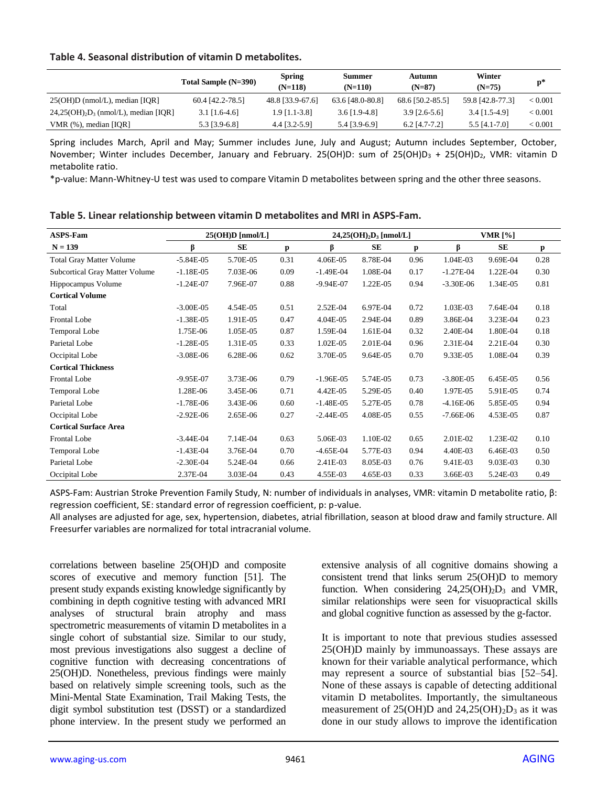#### **Table 4. Seasonal distribution of vitamin D metabolites.**

|                                             | Total Sample (N=390) | <b>Spring</b><br>$(N=118)$ | Summer<br>$(N=110)$ | Autumn<br>$(N=87)$ | Winter<br>$(N=75)$ | $p*$    |
|---------------------------------------------|----------------------|----------------------------|---------------------|--------------------|--------------------|---------|
| $25(OH)D$ (nmol/L), median [IQR]            | $60.4$ [42.2-78.5]   | 48.8 [33.9-67.6]           | 63.6 [48.0-80.8]    | 68.6 [50.2-85.5]   | 59.8 [42.8-77.3]   | < 0.001 |
| $24,25(OH)_{2}D_{3}$ (nmol/L), median [IQR] | $3.1$ [1.6-4.6]      | $1.9$ [1.1-3.8]            | $3.6$ [1.9-4.8]     | $3.9$ [2.6-5.6]    | $3.4$ [1.5-4.9]    | < 0.001 |
| VMR $(\%)$ , median [IQR]                   | 5.3 [3.9-6.8]        | 4.4 [3.2-5.9]              | 5.4 [3.9-6.9]       | $6.2$ [4.7-7.2]    | 5.5 [4.1-7.0]      | < 0.001 |

Spring includes March, April and May; Summer includes June, July and August; Autumn includes September, October, November; Winter includes December, January and February. 25(OH)D: sum of 25(OH)D<sub>3</sub> + 25(OH)D<sub>2</sub>, VMR: vitamin D metabolite ratio.

\*p-value: Mann-Whitney-U test was used to compare Vitamin D metabolites between spring and the other three seasons.

| <b>ASPS-Fam</b>                       | $25(OH)D$ [nmol/L] |           |      |             | $24,25(OH)2D3$ [nmol/L] |      | <b>VMR</b> [%] |            |      |
|---------------------------------------|--------------------|-----------|------|-------------|-------------------------|------|----------------|------------|------|
| $N = 139$                             | ß                  | <b>SE</b> | p    | β           | <b>SE</b>               | p    | ß              | <b>SE</b>  | р    |
| <b>Total Gray Matter Volume</b>       | $-5.84E-05$        | 5.70E-05  | 0.31 | 4.06E-05    | 8.78E-04                | 0.96 | 1.04E-03       | 9.69E-04   | 0.28 |
| <b>Subcortical Gray Matter Volume</b> | $-1.18E-05$        | 7.03E-06  | 0.09 | $-1.49E-04$ | 1.08E-04                | 0.17 | $-1.27E-04$    | 1.22E-04   | 0.30 |
| Hippocampus Volume                    | $-1.24E-07$        | 7.96E-07  | 0.88 | $-9.94E-07$ | 1.22E-05                | 0.94 | $-3.30E-06$    | 1.34E-05   | 0.81 |
| <b>Cortical Volume</b>                |                    |           |      |             |                         |      |                |            |      |
| Total                                 | $-3.00E-05$        | 4.54E-05  | 0.51 | 2.52E-04    | 6.97E-04                | 0.72 | 1.03E-03       | 7.64E-04   | 0.18 |
| <b>Frontal Lobe</b>                   | $-1.38E-05$        | 1.91E-05  | 0.47 | 4.04E-05    | 2.94E-04                | 0.89 | 3.86E-04       | 3.23E-04   | 0.23 |
| Temporal Lobe                         | 1.75E-06           | 1.05E-05  | 0.87 | 1.59E-04    | 1.61E-04                | 0.32 | 2.40E-04       | 1.80E-04   | 0.18 |
| Parietal Lobe                         | $-1.28E-05$        | 1.31E-05  | 0.33 | 1.02E-05    | 2.01E-04                | 0.96 | 2.31E-04       | $2.21E-04$ | 0.30 |
| Occipital Lobe                        | $-3.08E-06$        | 6.28E-06  | 0.62 | 3.70E-05    | 9.64E-05                | 0.70 | 9.33E-05       | 1.08E-04   | 0.39 |
| <b>Cortical Thickness</b>             |                    |           |      |             |                         |      |                |            |      |
| Frontal Lobe                          | $-9.95E-07$        | 3.73E-06  | 0.79 | $-1.96E-05$ | 5.74E-05                | 0.73 | $-3.80E - 05$  | 6.45E-05   | 0.56 |
| Temporal Lobe                         | 1.28E-06           | 3.45E-06  | 0.71 | 4.42E-05    | 5.29E-05                | 0.40 | 1.97E-05       | 5.91E-05   | 0.74 |
| Parietal Lobe                         | $-1.78E-06$        | 3.43E-06  | 0.60 | $-1.48E-05$ | 5.27E-05                | 0.78 | $-4.16E-06$    | 5.85E-05   | 0.94 |
| Occipital Lobe                        | $-2.92E-06$        | 2.65E-06  | 0.27 | $-2.44E-05$ | 4.08E-05                | 0.55 | $-7.66E-06$    | 4.53E-05   | 0.87 |
| <b>Cortical Surface Area</b>          |                    |           |      |             |                         |      |                |            |      |
| <b>Frontal Lobe</b>                   | $-3.44E-04$        | 7.14E-04  | 0.63 | 5.06E-03    | 1.10E-02                | 0.65 | 2.01E-02       | 1.23E-02   | 0.10 |
| <b>Temporal Lobe</b>                  | $-1.43E-04$        | 3.76E-04  | 0.70 | $-4.65E-04$ | 5.77E-03                | 0.94 | 4.40E-03       | 6.46E-03   | 0.50 |
| Parietal Lobe                         | $-2.30E-04$        | 5.24E-04  | 0.66 | 2.41E-03    | 8.05E-03                | 0.76 | 9.41E-03       | 9.03E-03   | 0.30 |
| Occipital Lobe                        | 2.37E-04           | 3.03E-04  | 0.43 | 4.55E-03    | 4.65E-03                | 0.33 | 3.66E-03       | 5.24E-03   | 0.49 |

**Table 5. Linear relationship between vitamin D metabolites and MRI in ASPS-Fam.**

ASPS-Fam: Austrian Stroke Prevention Family Study, N: number of individuals in analyses, VMR: vitamin D metabolite ratio, β: regression coefficient, SE: standard error of regression coefficient, p: p-value.

All analyses are adjusted for age, sex, hypertension, diabetes, atrial fibrillation, season at blood draw and family structure. All Freesurfer variables are normalized for total intracranial volume.

correlations between baseline 25(OH)D and composite scores of executive and memory function [51]. The present study expands existing knowledge significantly by combining in depth cognitive testing with advanced MRI analyses of structural brain atrophy and mass spectrometric measurements of vitamin D metabolites in a single cohort of substantial size. Similar to our study, most previous investigations also suggest a decline of cognitive function with decreasing concentrations of 25(OH)D. Nonetheless, previous findings were mainly based on relatively simple screening tools, such as the Mini-Mental State Examination, Trail Making Tests, the digit symbol substitution test (DSST) or a standardized phone interview. In the present study we performed an

extensive analysis of all cognitive domains showing a consistent trend that links serum 25(OH)D to memory function. When considering  $24,25(OH)_2D_3$  and VMR, similar relationships were seen for visuopractical skills and global cognitive function as assessed by the g-factor.

It is important to note that previous studies assessed 25(OH)D mainly by immunoassays. These assays are known for their variable analytical performance, which may represent a source of substantial bias [52–54]. None of these assays is capable of detecting additional vitamin D metabolites. Importantly, the simultaneous measurement of  $25(OH)D$  and  $24,25(OH)2D_3$  as it was done in our study allows to improve the identification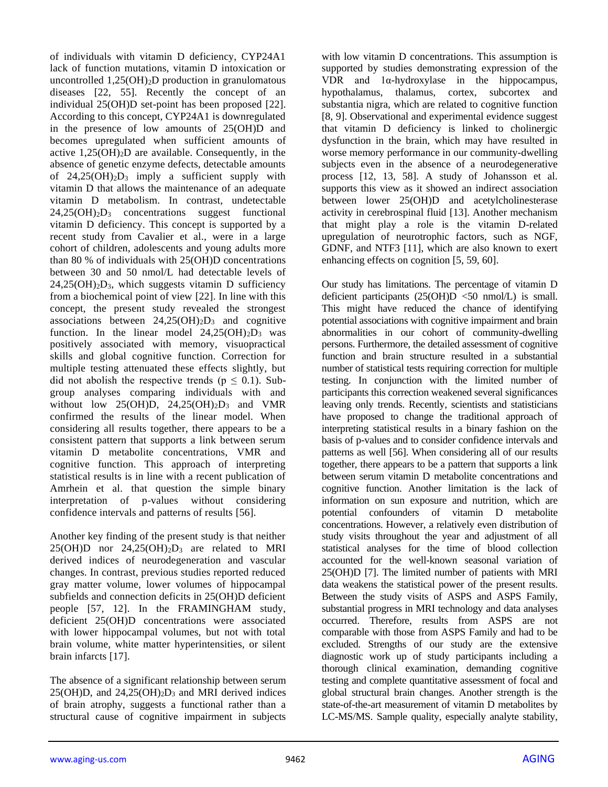of individuals with vitamin D deficiency, CYP24A1 lack of function mutations, vitamin D intoxication or uncontrolled  $1,25(OH)_2D$  production in granulomatous diseases [22, 55]. Recently the concept of an individual 25(OH)D set-point has been proposed [22]. According to this concept, CYP24A1 is downregulated in the presence of low amounts of 25(OH)D and becomes upregulated when sufficient amounts of active  $1,25(OH)<sub>2</sub>D$  are available. Consequently, in the absence of genetic enzyme defects, detectable amounts of  $24.25(OH)<sub>2</sub>D<sub>3</sub>$  imply a sufficient supply with vitamin D that allows the maintenance of an adequate vitamin D metabolism. In contrast, undetectable  $24,25(OH)<sub>2</sub>D<sub>3</sub>$  concentrations suggest functional vitamin D deficiency. This concept is supported by a recent study from Cavalier et al., were in a large cohort of children, adolescents and young adults more than 80 % of individuals with 25(OH)D concentrations between 30 and 50 nmol/L had detectable levels of  $24,25(OH)<sub>2</sub>D<sub>3</sub>$ , which suggests vitamin D sufficiency from a biochemical point of view [22]. In line with this concept, the present study revealed the strongest associations between  $24,25(OH)<sub>2</sub>D<sub>3</sub>$  and cognitive function. In the linear model  $24,25(OH)<sub>2</sub>D<sub>3</sub>$  was positively associated with memory, visuopractical skills and global cognitive function. Correction for multiple testing attenuated these effects slightly, but did not abolish the respective trends ( $p \le 0.1$ ). Subgroup analyses comparing individuals with and without low  $25(OH)D$ ,  $24,25(OH)_{2}D_{3}$  and VMR confirmed the results of the linear model. When considering all results together, there appears to be a consistent pattern that supports a link between serum vitamin D metabolite concentrations, VMR and cognitive function. This approach of interpreting statistical results is in line with a recent publication of Amrhein et al. that question the simple binary interpretation of p-values without considering confidence intervals and patterns of results [56].

Another key finding of the present study is that neither  $25(OH)D$  nor  $24.25(OH)_{2}D_{3}$  are related to MRI derived indices of neurodegeneration and vascular changes. In contrast, previous studies reported reduced gray matter volume, lower volumes of hippocampal subfields and connection deficits in 25(OH)D deficient people [57, 12]. In the FRAMINGHAM study, deficient 25(OH)D concentrations were associated with lower hippocampal volumes, but not with total brain volume, white matter hyperintensities, or silent brain infarcts [17].

The absence of a significant relationship between serum  $25(OH)D$ , and  $24.25(OH)2D_3$  and MRI derived indices of brain atrophy, suggests a functional rather than a structural cause of cognitive impairment in subjects with low vitamin D concentrations. This assumption is supported by studies demonstrating expression of the VDR and 1α-hydroxylase in the hippocampus, hypothalamus, thalamus, cortex, subcortex and substantia nigra, which are related to cognitive function [8, 9]. Observational and experimental evidence suggest that vitamin D deficiency is linked to cholinergic dysfunction in the brain, which may have resulted in worse memory performance in our community-dwelling subjects even in the absence of a neurodegenerative process [12, 13, 58]. A study of Johansson et al. supports this view as it showed an indirect association between lower 25(OH)D and acetylcholinesterase activity in cerebrospinal fluid [13]. Another mechanism that might play a role is the vitamin D-related upregulation of neurotrophic factors, such as NGF, GDNF, and NTF3 [11], which are also known to exert enhancing effects on cognition [5, 59, 60].

Our study has limitations. The percentage of vitamin D deficient participants  $(25(OH)D \le 50 \text{ nmol/L})$  is small. This might have reduced the chance of identifying potential associations with cognitive impairment and brain abnormalities in our cohort of community-dwelling persons. Furthermore, the detailed assessment of cognitive function and brain structure resulted in a substantial number of statistical tests requiring correction for multiple testing. In conjunction with the limited number of participants this correction weakened several significances leaving only trends. Recently, scientists and statisticians have proposed to change the traditional approach of interpreting statistical results in a binary fashion on the basis of p-values and to consider confidence intervals and patterns as well [56]. When considering all of our results together, there appears to be a pattern that supports a link between serum vitamin D metabolite concentrations and cognitive function. Another limitation is the lack of information on sun exposure and nutrition, which are potential confounders of vitamin D metabolite concentrations. However, a relatively even distribution of study visits throughout the year and adjustment of all statistical analyses for the time of blood collection accounted for the well-known seasonal variation of 25(OH)D [7]. The limited number of patients with MRI data weakens the statistical power of the present results. Between the study visits of ASPS and ASPS Family, substantial progress in MRI technology and data analyses occurred. Therefore, results from ASPS are not comparable with those from ASPS Family and had to be excluded. Strengths of our study are the extensive diagnostic work up of study participants including a thorough clinical examination, demanding cognitive testing and complete quantitative assessment of focal and global structural brain changes. Another strength is the state-of-the-art measurement of vitamin D metabolites by LC-MS/MS. Sample quality, especially analyte stability,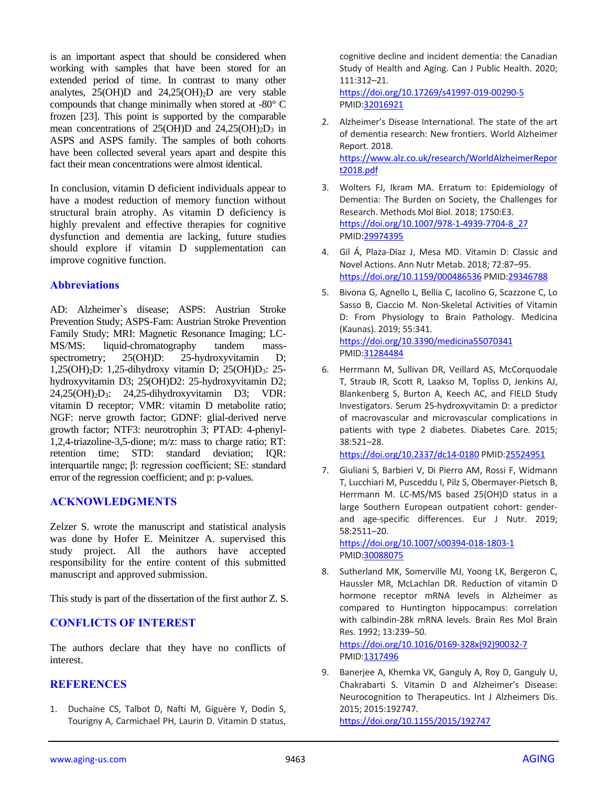is an important aspect that should be considered when working with samples that have been stored for an extended period of time. In contrast to many other analytes,  $25(OH)D$  and  $24,25(OH)_2D$  are very stable compounds that change minimally when stored at -80° C frozen [23]. This point is supported by the comparable mean concentrations of 25(OH)D and 24,25(OH)<sub>2</sub>D<sub>3</sub> in ASPS and ASPS family. The samples of both cohorts have been collected several years apart and despite this fact their mean concentrations were almost identical.

In conclusion, vitamin D deficient individuals appear to have a modest reduction of memory function without structural brain atrophy. As vitamin D deficiency is highly prevalent and effective therapies for cognitive dysfunction and dementia are lacking, future studies should explore if vitamin D supplementation can improve cognitive function.

## **Abbreviations**

AD: Alzheimer`s disease; ASPS: Austrian Stroke Prevention Study; ASPS-Fam: Austrian Stroke Prevention Family Study; MRI: Magnetic Resonance Imaging; LC-MS/MS: liquid-chromatography tandem massspectrometry; 25(OH)D: 25-hydroxyvitamin D; 1,25(OH)2D: 1,25-dihydroxy vitamin D; 25(OH)D3: 25 hydroxyvitamin D3; 25(OH)D2: 25-hydroxyvitamin D2; 24,25(OH)2D3: 24,25-dihydroxyvitamin D3; VDR: vitamin D receptor; VMR: vitamin D metabolite ratio; NGF: nerve growth factor; GDNF: glial-derived nerve growth factor; NTF3: neurotrophin 3; PTAD: 4-phenyl-1,2,4-triazoline-3,5-dione; m/z: mass to charge ratio; RT: retention time; STD: standard deviation; IQR: interquartile range; β: regression coefficient; SE: standard error of the regression coefficient; and p: p-values.

#### **ACKNOWLEDGMENTS**

Zelzer S. wrote the manuscript and statistical analysis was done by Hofer E. Meinitzer A. supervised this study project. All the authors have accepted responsibility for the entire content of this submitted manuscript and approved submission.

This study is part of the dissertation of the first author Z. S.

## **CONFLICTS OF INTEREST**

The authors declare that they have no conflicts of interest.

#### **REFERENCES**

1. Duchaine CS, Talbot D, Nafti M, Giguère Y, Dodin S, Tourigny A, Carmichael PH, Laurin D. Vitamin D status,

cognitive decline and incident dementia: the Canadian Study of Health and Aging. Can J Public Health. 2020; 111:312–21. <https://doi.org/10.17269/s41997-019-00290-5> PMI[D:32016921](https://pubmed.ncbi.nlm.nih.gov/32016921)

2. Alzheimer's Disease International. The state of the art of dementia research: New frontiers. World Alzheimer Report. 2018. [https://www.alz.co.uk/research/WorldAlzheimerRepor](https://www.alz.co.uk/research/WorldAlzheimerReport2018.pdf) [t2018.pdf](https://www.alz.co.uk/research/WorldAlzheimerReport2018.pdf)

- 3. Wolters FJ, Ikram MA. Erratum to: Epidemiology of Dementia: The Burden on Society, the Challenges for Research. Methods Mol Biol. 2018; 1750:E3. [https://doi.org/10.1007/978-1-4939-7704-8\\_27](https://doi.org/10.1007/978-1-4939-7704-8_27) PMI[D:29974395](https://pubmed.ncbi.nlm.nih.gov/29974395)
- 4. Gil Á, Plaza-Diaz J, Mesa MD. Vitamin D: Classic and Novel Actions. Ann Nutr Metab. 2018; 72:87–95. <https://doi.org/10.1159/000486536> PMID[:29346788](https://pubmed.ncbi.nlm.nih.gov/29346788)
- 5. Bivona G, Agnello L, Bellia C, Iacolino G, Scazzone C, Lo Sasso B, Ciaccio M. Non-Skeletal Activities of Vitamin D: From Physiology to Brain Pathology. Medicina (Kaunas). 2019; 55:341. <https://doi.org/10.3390/medicina55070341> PMI[D:31284484](https://pubmed.ncbi.nlm.nih.gov/31284484)
- 6. Herrmann M, Sullivan DR, Veillard AS, McCorquodale T, Straub IR, Scott R, Laakso M, Topliss D, Jenkins AJ, Blankenberg S, Burton A, Keech AC, and FIELD Study Investigators. Serum 25-hydroxyvitamin D: a predictor of macrovascular and microvascular complications in patients with type 2 diabetes. Diabetes Care. 2015; 38:521–28.

<https://doi.org/10.2337/dc14-0180> PMID[:25524951](https://pubmed.ncbi.nlm.nih.gov/25524951)

7. Giuliani S, Barbieri V, Di Pierro AM, Rossi F, Widmann T, Lucchiari M, Pusceddu I, Pilz S, Obermayer-Pietsch B, Herrmann M. LC-MS/MS based 25(OH)D status in a large Southern European outpatient cohort: genderand age-specific differences. Eur J Nutr. 2019; 58:2511–20.

<https://doi.org/10.1007/s00394-018-1803-1> PMI[D:30088075](https://pubmed.ncbi.nlm.nih.gov/30088075)

8. Sutherland MK, Somerville MJ, Yoong LK, Bergeron C, Haussler MR, McLachlan DR. Reduction of vitamin D hormone receptor mRNA levels in Alzheimer as compared to Huntington hippocampus: correlation with calbindin-28k mRNA levels. Brain Res Mol Brain Res. 1992; 13:239–50.

[https://doi.org/10.1016/0169-328x\(92\)90032-7](https://doi.org/10.1016/0169-328x(92)90032-7) PMI[D:1317496](https://pubmed.ncbi.nlm.nih.gov/1317496)

9. Banerjee A, Khemka VK, Ganguly A, Roy D, Ganguly U, Chakrabarti S. Vitamin D and Alzheimer's Disease: Neurocognition to Therapeutics. Int J Alzheimers Dis. 2015; 2015:192747. <https://doi.org/10.1155/2015/192747>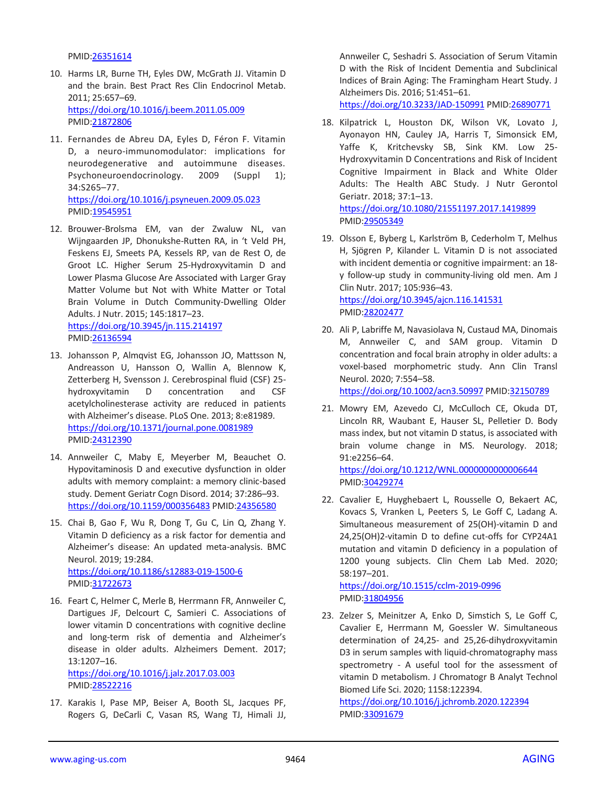PMID[:26351614](https://pubmed.ncbi.nlm.nih.gov/26351614)

- 10. Harms LR, Burne TH, Eyles DW, McGrath JJ. Vitamin D and the brain. Best Pract Res Clin Endocrinol Metab. 2011; 25:657–69. <https://doi.org/10.1016/j.beem.2011.05.009> PMID[:21872806](https://pubmed.ncbi.nlm.nih.gov/21872806)
- 11. Fernandes de Abreu DA, Eyles D, Féron F. Vitamin D, a neuro-immunomodulator: implications for neurodegenerative and autoimmune diseases. Psychoneuroendocrinology. 2009 (Suppl 1); 34:S265–77. <https://doi.org/10.1016/j.psyneuen.2009.05.023> PMID[:19545951](https://pubmed.ncbi.nlm.nih.gov/19545951)
- 12. Brouwer-Brolsma EM, van der Zwaluw NL, van Wijngaarden JP, Dhonukshe-Rutten RA, in 't Veld PH, Feskens EJ, Smeets PA, Kessels RP, van de Rest O, de Groot LC. Higher Serum 25-Hydroxyvitamin D and Lower Plasma Glucose Are Associated with Larger Gray Matter Volume but Not with White Matter or Total Brain Volume in Dutch Community-Dwelling Older Adults. J Nutr. 2015; 145:1817–23. <https://doi.org/10.3945/jn.115.214197> PMID[:26136594](https://pubmed.ncbi.nlm.nih.gov/26136594)
- 13. Johansson P, Almqvist EG, Johansson JO, Mattsson N, Andreasson U, Hansson O, Wallin A, Blennow K, Zetterberg H, Svensson J. Cerebrospinal fluid (CSF) 25 hydroxyvitamin D concentration and CSF acetylcholinesterase activity are reduced in patients with Alzheimer's disease. PLoS One. 2013; 8:e81989. <https://doi.org/10.1371/journal.pone.0081989> PMID[:24312390](https://pubmed.ncbi.nlm.nih.gov/24312390)
- 14. Annweiler C, Maby E, Meyerber M, Beauchet O. Hypovitaminosis D and executive dysfunction in older adults with memory complaint: a memory clinic-based study. Dement Geriatr Cogn Disord. 2014; 37:286–93. <https://doi.org/10.1159/000356483> PMID[:24356580](https://pubmed.ncbi.nlm.nih.gov/24356580)
- 15. Chai B, Gao F, Wu R, Dong T, Gu C, Lin Q, Zhang Y. Vitamin D deficiency as a risk factor for dementia and Alzheimer's disease: An updated meta-analysis. BMC Neurol. 2019; 19:284. <https://doi.org/10.1186/s12883-019-1500-6> PMID[:31722673](https://pubmed.ncbi.nlm.nih.gov/31722673)
- 16. Feart C, Helmer C, Merle B, Herrmann FR, Annweiler C, Dartigues JF, Delcourt C, Samieri C. Associations of lower vitamin D concentrations with cognitive decline and long-term risk of dementia and Alzheimer's disease in older adults. Alzheimers Dement. 2017; 13:1207–16. <https://doi.org/10.1016/j.jalz.2017.03.003> PMID[:28522216](https://pubmed.ncbi.nlm.nih.gov/28522216)
- 17. Karakis I, Pase MP, Beiser A, Booth SL, Jacques PF, Rogers G, DeCarli C, Vasan RS, Wang TJ, Himali JJ,

Annweiler C, Seshadri S. Association of Serum Vitamin D with the Risk of Incident Dementia and Subclinical Indices of Brain Aging: The Framingham Heart Study. J Alzheimers Dis. 2016; 51:451–61.

<https://doi.org/10.3233/JAD-150991> PMID[:26890771](https://pubmed.ncbi.nlm.nih.gov/26890771)

- 18. Kilpatrick L, Houston DK, Wilson VK, Lovato J, Ayonayon HN, Cauley JA, Harris T, Simonsick EM, Yaffe K, Kritchevsky SB, Sink KM. Low 25- Hydroxyvitamin D Concentrations and Risk of Incident Cognitive Impairment in Black and White Older Adults: The Health ABC Study. J Nutr Gerontol Geriatr. 2018; 37:1–13. <https://doi.org/10.1080/21551197.2017.1419899> PMI[D:29505349](https://pubmed.ncbi.nlm.nih.gov/29505349)
- 19. Olsson E, Byberg L, Karlström B, Cederholm T, Melhus H, Sjögren P, Kilander L. Vitamin D is not associated with incident dementia or cognitive impairment: an 18 y follow-up study in community-living old men. Am J Clin Nutr. 2017; 105:936–43. <https://doi.org/10.3945/ajcn.116.141531> PMI[D:28202477](https://pubmed.ncbi.nlm.nih.gov/28202477)
- 20. Ali P, Labriffe M, Navasiolava N, Custaud MA, Dinomais M, Annweiler C, and SAM group. Vitamin D concentration and focal brain atrophy in older adults: a voxel-based morphometric study. Ann Clin Transl Neurol. 2020; 7:554–58.

<https://doi.org/10.1002/acn3.50997> PMI[D:32150789](https://pubmed.ncbi.nlm.nih.gov/32150789)

21. Mowry EM, Azevedo CJ, McCulloch CE, Okuda DT, Lincoln RR, Waubant E, Hauser SL, Pelletier D. Body mass index, but not vitamin D status, is associated with brain volume change in MS. Neurology. 2018; 91:e2256–64.

<https://doi.org/10.1212/WNL.0000000000006644> PMI[D:30429274](https://pubmed.ncbi.nlm.nih.gov/30429274)

22. Cavalier E, Huyghebaert L, Rousselle O, Bekaert AC, Kovacs S, Vranken L, Peeters S, Le Goff C, Ladang A. Simultaneous measurement of 25(OH)-vitamin D and 24,25(OH)2-vitamin D to define cut-offs for CYP24A1 mutation and vitamin D deficiency in a population of 1200 young subjects. Clin Chem Lab Med. 2020; 58:197–201.

<https://doi.org/10.1515/cclm-2019-0996> PMI[D:31804956](https://pubmed.ncbi.nlm.nih.gov/31804956)

23. Zelzer S, Meinitzer A, Enko D, Simstich S, Le Goff C, Cavalier E, Herrmann M, Goessler W. Simultaneous determination of 24,25- and 25,26-dihydroxyvitamin D3 in serum samples with liquid-chromatography mass spectrometry - A useful tool for the assessment of vitamin D metabolism. J Chromatogr B Analyt Technol Biomed Life Sci. 2020; 1158:122394.

<https://doi.org/10.1016/j.jchromb.2020.122394> PMI[D:33091679](https://pubmed.ncbi.nlm.nih.gov/33091679)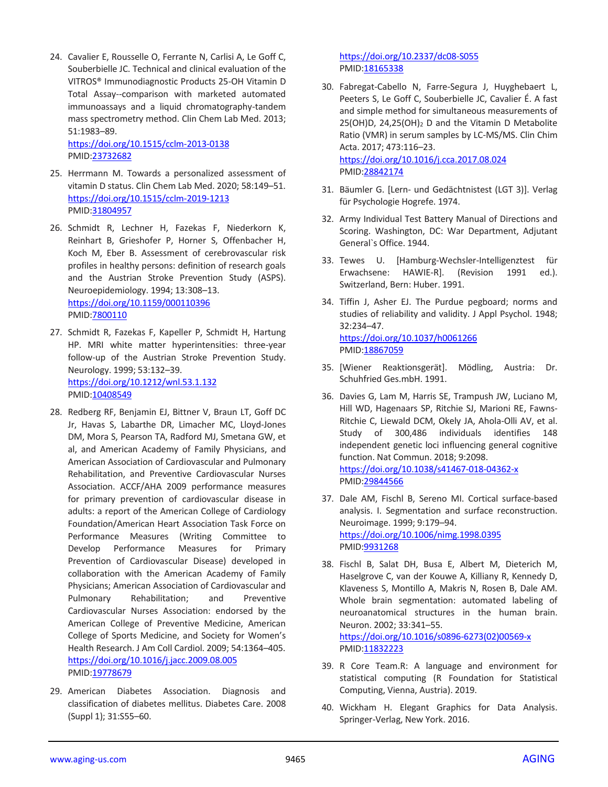24. Cavalier E, Rousselle O, Ferrante N, Carlisi A, Le Goff C, Souberbielle JC. Technical and clinical evaluation of the VITROS® Immunodiagnostic Products 25-OH Vitamin D Total Assay--comparison with marketed automated immunoassays and a liquid chromatography-tandem mass spectrometry method. Clin Chem Lab Med. 2013; 51:1983–89.

<https://doi.org/10.1515/cclm-2013-0138> PMID[:23732682](https://pubmed.ncbi.nlm.nih.gov/23732682)

- 25. Herrmann M. Towards a personalized assessment of vitamin D status. Clin Chem Lab Med. 2020; 58:149–51. <https://doi.org/10.1515/cclm-2019-1213> PMID[:31804957](https://pubmed.ncbi.nlm.nih.gov/31804957)
- 26. Schmidt R, Lechner H, Fazekas F, Niederkorn K, Reinhart B, Grieshofer P, Horner S, Offenbacher H, Koch M, Eber B. Assessment of cerebrovascular risk profiles in healthy persons: definition of research goals and the Austrian Stroke Prevention Study (ASPS). Neuroepidemiology. 1994; 13:308–13. <https://doi.org/10.1159/000110396> PMID[:7800110](https://pubmed.ncbi.nlm.nih.gov/7800110)
- 27. Schmidt R, Fazekas F, Kapeller P, Schmidt H, Hartung HP. MRI white matter hyperintensities: three-year follow-up of the Austrian Stroke Prevention Study. Neurology. 1999; 53:132–39. <https://doi.org/10.1212/wnl.53.1.132> PMID[:10408549](https://pubmed.ncbi.nlm.nih.gov/10408549)
- 28. Redberg RF, Benjamin EJ, Bittner V, Braun LT, Goff DC Jr, Havas S, Labarthe DR, Limacher MC, Lloyd-Jones DM, Mora S, Pearson TA, Radford MJ, Smetana GW, et al, and American Academy of Family Physicians, and American Association of Cardiovascular and Pulmonary Rehabilitation, and Preventive Cardiovascular Nurses Association. ACCF/AHA 2009 performance measures for primary prevention of cardiovascular disease in adults: a report of the American College of Cardiology Foundation/American Heart Association Task Force on Performance Measures (Writing Committee to Develop Performance Measures for Primary Prevention of Cardiovascular Disease) developed in collaboration with the American Academy of Family Physicians; American Association of Cardiovascular and Pulmonary Rehabilitation; and Preventive Cardiovascular Nurses Association: endorsed by the American College of Preventive Medicine, American College of Sports Medicine, and Society for Women's Health Research. J Am Coll Cardiol. 2009; 54:1364–405. <https://doi.org/10.1016/j.jacc.2009.08.005> PMID: 19778679
- 29. American Diabetes Association. Diagnosis and classification of diabetes mellitus. Diabetes Care. 2008 (Suppl 1); 31:S55–60.

<https://doi.org/10.2337/dc08-S055> PMI[D:18165338](https://pubmed.ncbi.nlm.nih.gov/18165338)

30. Fabregat-Cabello N, Farre-Segura J, Huyghebaert L, Peeters S, Le Goff C, Souberbielle JC, Cavalier É. A fast and simple method for simultaneous measurements of  $25(OH)D$ ,  $24.25(OH)_2$  D and the Vitamin D Metabolite Ratio (VMR) in serum samples by LC-MS/MS. Clin Chim Acta. 2017; 473:116–23. <https://doi.org/10.1016/j.cca.2017.08.024>

PMI[D:28842174](https://pubmed.ncbi.nlm.nih.gov/28842174)

- 31. Bäumler G. [Lern- und Gedächtnistest (LGT 3)]. Verlag für Psychologie Hogrefe. 1974.
- 32. Army Individual Test Battery Manual of Directions and Scoring. Washington, DC: War Department, Adjutant General`s Office. 1944.
- 33. Tewes U. [Hamburg-Wechsler-Intelligenztest für Erwachsene: HAWIE-R]. (Revision 1991 ed.). Switzerland, Bern: Huber. 1991.
- 34. Tiffin J, Asher EJ. The Purdue pegboard; norms and studies of reliability and validity. J Appl Psychol. 1948; 32:234–47. <https://doi.org/10.1037/h0061266> PMI[D:18867059](https://pubmed.ncbi.nlm.nih.gov/18867059)
- 35. [Wiener Reaktionsgerät]. Mödling, Austria: Dr. Schuhfried Ges.mbH. 1991.
- 36. Davies G, Lam M, Harris SE, Trampush JW, Luciano M, Hill WD, Hagenaars SP, Ritchie SJ, Marioni RE, Fawns-Ritchie C, Liewald DCM, Okely JA, Ahola-Olli AV, et al. Study of 300,486 individuals identifies 148 independent genetic loci influencing general cognitive function. Nat Commun. 2018; 9:2098. <https://doi.org/10.1038/s41467-018-04362-x> PMI[D:29844566](https://pubmed.ncbi.nlm.nih.gov/29844566)
- 37. Dale AM, Fischl B, Sereno MI. Cortical surface-based analysis. I. Segmentation and surface reconstruction. Neuroimage. 1999; 9:179–94. <https://doi.org/10.1006/nimg.1998.0395> PMI[D:9931268](https://pubmed.ncbi.nlm.nih.gov/9931268)
- 38. Fischl B, Salat DH, Busa E, Albert M, Dieterich M, Haselgrove C, van der Kouwe A, Killiany R, Kennedy D, Klaveness S, Montillo A, Makris N, Rosen B, Dale AM. Whole brain segmentation: automated labeling of neuroanatomical structures in the human brain. Neuron. 2002; 33:341–55. [https://doi.org/10.1016/s0896-6273\(02\)00569-x](https://doi.org/10.1016/s0896-6273(02)00569-x) PMID: 11832223
- 39. R Core Team.R: A language and environment for statistical computing (R Foundation for Statistical Computing, Vienna, Austria). 2019.
- 40. Wickham H. Elegant Graphics for Data Analysis. Springer-Verlag, New York. 2016.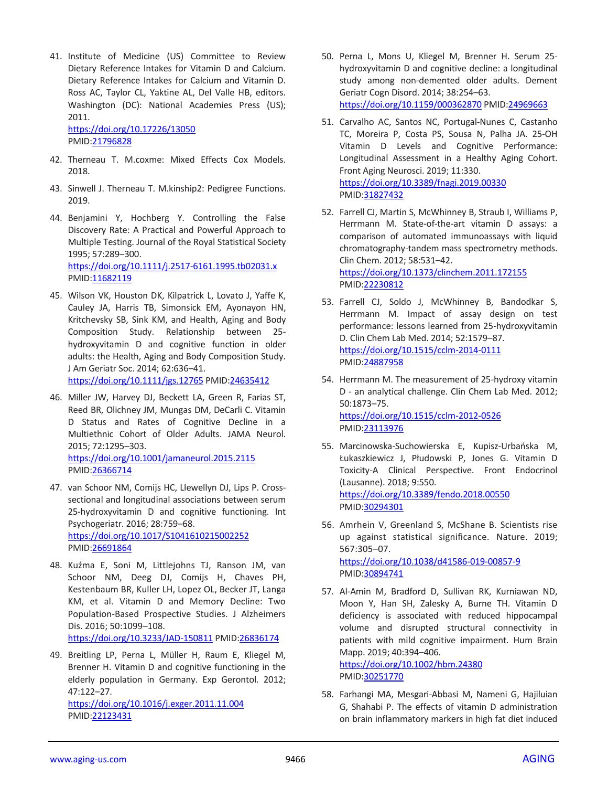41. Institute of Medicine (US) Committee to Review Dietary Reference Intakes for Vitamin D and Calcium. Dietary Reference Intakes for Calcium and Vitamin D. Ross AC, Taylor CL, Yaktine AL, Del Valle HB, editors. Washington (DC): National Academies Press (US); 2011.

<https://doi.org/10.17226/13050> PMID[:21796828](https://pubmed.ncbi.nlm.nih.gov/21796828)

- 42. Therneau T. M.coxme: Mixed Effects Cox Models. 2018.
- 43. Sinwell J. Therneau T. M.kinship2: Pedigree Functions. 2019.
- 44. Benjamini Y, Hochberg Y. Controlling the False Discovery Rate: A Practical and Powerful Approach to Multiple Testing. Journal of the Royal Statistical Society 1995; 57:289–300. <https://doi.org/10.1111/j.2517-6161.1995.tb02031.x> PMID[:11682119](https://pubmed.ncbi.nlm.nih.gov/11682119)
- 45. Wilson VK, Houston DK, Kilpatrick L, Lovato J, Yaffe K, Cauley JA, Harris TB, Simonsick EM, Ayonayon HN, Kritchevsky SB, Sink KM, and Health, Aging and Body Composition Study. Relationship between 25 hydroxyvitamin D and cognitive function in older adults: the Health, Aging and Body Composition Study. J Am Geriatr Soc. 2014; 62:636–41. <https://doi.org/10.1111/jgs.12765> PMI[D:24635412](https://pubmed.ncbi.nlm.nih.gov/24635412)
- 46. Miller JW, Harvey DJ, Beckett LA, Green R, Farias ST, Reed BR, Olichney JM, Mungas DM, DeCarli C. Vitamin D Status and Rates of Cognitive Decline in a Multiethnic Cohort of Older Adults. JAMA Neurol. 2015; 72:1295–303. <https://doi.org/10.1001/jamaneurol.2015.2115> PMID[:26366714](https://pubmed.ncbi.nlm.nih.gov/26366714)
- 47. van Schoor NM, Comijs HC, Llewellyn DJ, Lips P. Crosssectional and longitudinal associations between serum 25-hydroxyvitamin D and cognitive functioning. Int Psychogeriatr. 2016; 28:759–68. <https://doi.org/10.1017/S1041610215002252> PMID[:26691864](https://pubmed.ncbi.nlm.nih.gov/26691864)
- 48. Kuźma E, Soni M, Littlejohns TJ, Ranson JM, van Schoor NM, Deeg DJ, Comijs H, Chaves PH, Kestenbaum BR, Kuller LH, Lopez OL, Becker JT, Langa KM, et al. Vitamin D and Memory Decline: Two Population-Based Prospective Studies. J Alzheimers Dis. 2016; 50:1099–108. <https://doi.org/10.3233/JAD-150811> PMID[:26836174](https://pubmed.ncbi.nlm.nih.gov/26836174)
- 49. Breitling LP, Perna L, Müller H, Raum E, Kliegel M, Brenner H. Vitamin D and cognitive functioning in the elderly population in Germany. Exp Gerontol. 2012; 47:122–27. <https://doi.org/10.1016/j.exger.2011.11.004> PMID[:22123431](https://pubmed.ncbi.nlm.nih.gov/22123431)
- 50. Perna L, Mons U, Kliegel M, Brenner H. Serum 25 hydroxyvitamin D and cognitive decline: a longitudinal study among non-demented older adults. Dement Geriatr Cogn Disord. 2014; 38:254–63. <https://doi.org/10.1159/000362870> PMID[:24969663](https://pubmed.ncbi.nlm.nih.gov/24969663)
- 51. Carvalho AC, Santos NC, Portugal-Nunes C, Castanho TC, Moreira P, Costa PS, Sousa N, Palha JA. 25-OH Vitamin D Levels and Cognitive Performance: Longitudinal Assessment in a Healthy Aging Cohort. Front Aging Neurosci. 2019; 11:330. <https://doi.org/10.3389/fnagi.2019.00330> PMI[D:31827432](https://pubmed.ncbi.nlm.nih.gov/31827432)
- 52. Farrell CJ, Martin S, McWhinney B, Straub I, Williams P, Herrmann M. State-of-the-art vitamin D assays: a comparison of automated immunoassays with liquid chromatography-tandem mass spectrometry methods. Clin Chem. 2012; 58:531–42. <https://doi.org/10.1373/clinchem.2011.172155> PMI[D:22230812](https://pubmed.ncbi.nlm.nih.gov/22230812)
- 53. Farrell CJ, Soldo J, McWhinney B, Bandodkar S, Herrmann M. Impact of assay design on test performance: lessons learned from 25-hydroxyvitamin D. Clin Chem Lab Med. 2014; 52:1579–87. <https://doi.org/10.1515/cclm-2014-0111> PMI[D:24887958](https://pubmed.ncbi.nlm.nih.gov/24887958)
- 54. Herrmann M. The measurement of 25-hydroxy vitamin D - an analytical challenge. Clin Chem Lab Med. 2012; 50:1873–75. <https://doi.org/10.1515/cclm-2012-0526> PMI[D:23113976](https://pubmed.ncbi.nlm.nih.gov/23113976)
- 55. Marcinowska-Suchowierska E, Kupisz-Urbańska M, Łukaszkiewicz J, Płudowski P, Jones G. Vitamin D Toxicity-A Clinical Perspective. Front Endocrinol (Lausanne). 2018; 9:550. <https://doi.org/10.3389/fendo.2018.00550> PMI[D:30294301](https://pubmed.ncbi.nlm.nih.gov/30294301)
- 56. Amrhein V, Greenland S, McShane B. Scientists rise up against statistical significance. Nature. 2019; 567:305–07.

<https://doi.org/10.1038/d41586-019-00857-9> PMI[D:30894741](https://pubmed.ncbi.nlm.nih.gov/30894741)

57. Al-Amin M, Bradford D, Sullivan RK, Kurniawan ND, Moon Y, Han SH, Zalesky A, Burne TH. Vitamin D deficiency is associated with reduced hippocampal volume and disrupted structural connectivity in patients with mild cognitive impairment. Hum Brain Mapp. 2019; 40:394–406.

<https://doi.org/10.1002/hbm.24380> PMI[D:30251770](https://pubmed.ncbi.nlm.nih.gov/30251770)

58. Farhangi MA, Mesgari-Abbasi M, Nameni G, Hajiluian G, Shahabi P. The effects of vitamin D administration on brain inflammatory markers in high fat diet induced